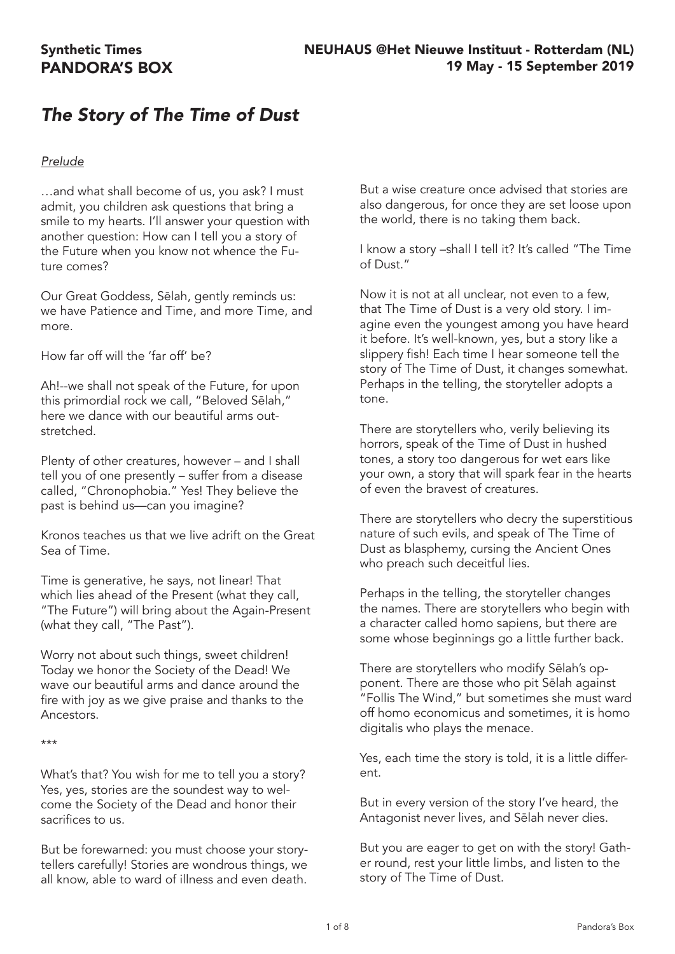# *The Story of The Time of Dust*

### *Prelude*

…and what shall become of us, you ask? I must admit, you children ask questions that bring a smile to my hearts. I'll answer your question with another question: How can I tell you a story of the Future when you know not whence the Future comes?

Our Great Goddess, Sēlah, gently reminds us: we have Patience and Time, and more Time, and more.

How far off will the 'far off' be?

Ah!--we shall not speak of the Future, for upon this primordial rock we call, "Beloved Sēlah," here we dance with our beautiful arms outstretched.

Plenty of other creatures, however – and I shall tell you of one presently – suffer from a disease called, "Chronophobia." Yes! They believe the past is behind us—can you imagine?

Kronos teaches us that we live adrift on the Great Sea of Time.

Time is generative, he says, not linear! That which lies ahead of the Present (what they call, "The Future") will bring about the Again-Present (what they call, "The Past").

Worry not about such things, sweet children! Today we honor the Society of the Dead! We wave our beautiful arms and dance around the fire with joy as we give praise and thanks to the Ancestors.

\*\*\*

What's that? You wish for me to tell you a story? Yes, yes, stories are the soundest way to welcome the Society of the Dead and honor their sacrifices to us.

But be forewarned: you must choose your storytellers carefully! Stories are wondrous things, we all know, able to ward of illness and even death. But a wise creature once advised that stories are also dangerous, for once they are set loose upon the world, there is no taking them back.

I know a story –shall I tell it? It's called "The Time of Dust."

Now it is not at all unclear, not even to a few, that The Time of Dust is a very old story. I imagine even the youngest among you have heard it before. It's well-known, yes, but a story like a slippery fish! Each time I hear someone tell the story of The Time of Dust, it changes somewhat. Perhaps in the telling, the storyteller adopts a tone.

There are storytellers who, verily believing its horrors, speak of the Time of Dust in hushed tones, a story too dangerous for wet ears like your own, a story that will spark fear in the hearts of even the bravest of creatures.

There are storytellers who decry the superstitious nature of such evils, and speak of The Time of Dust as blasphemy, cursing the Ancient Ones who preach such deceitful lies.

Perhaps in the telling, the storyteller changes the names. There are storytellers who begin with a character called homo sapiens, but there are some whose beginnings go a little further back.

There are storytellers who modify Sēlah's opponent. There are those who pit Sēlah against "Follis The Wind," but sometimes she must ward off homo economicus and sometimes, it is homo digitalis who plays the menace.

Yes, each time the story is told, it is a little different.

But in every version of the story I've heard, the Antagonist never lives, and Sēlah never dies.

But you are eager to get on with the story! Gather round, rest your little limbs, and listen to the story of The Time of Dust.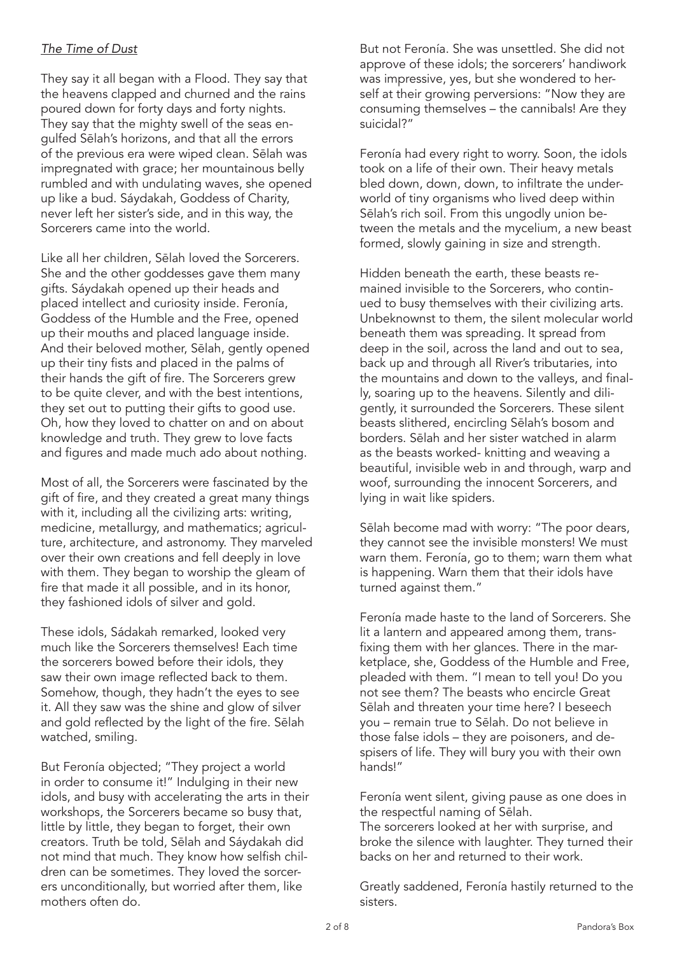### *The Time of Dust*

They say it all began with a Flood. They say that the heavens clapped and churned and the rains poured down for forty days and forty nights. They say that the mighty swell of the seas engulfed Sēlah's horizons, and that all the errors of the previous era were wiped clean. Sēlah was impregnated with grace; her mountainous belly rumbled and with undulating waves, she opened up like a bud. Sáydakah, Goddess of Charity, never left her sister's side, and in this way, the Sorcerers came into the world.

Like all her children, Sēlah loved the Sorcerers. She and the other goddesses gave them many gifts. Sáydakah opened up their heads and placed intellect and curiosity inside. Feronía, Goddess of the Humble and the Free, opened up their mouths and placed language inside. And their beloved mother, Sēlah, gently opened up their tiny fists and placed in the palms of their hands the gift of fire. The Sorcerers grew to be quite clever, and with the best intentions, they set out to putting their gifts to good use. Oh, how they loved to chatter on and on about knowledge and truth. They grew to love facts and figures and made much ado about nothing.

Most of all, the Sorcerers were fascinated by the gift of fire, and they created a great many things with it, including all the civilizing arts: writing, medicine, metallurgy, and mathematics; agriculture, architecture, and astronomy. They marveled over their own creations and fell deeply in love with them. They began to worship the gleam of fire that made it all possible, and in its honor, they fashioned idols of silver and gold.

These idols, Sádakah remarked, looked very much like the Sorcerers themselves! Each time the sorcerers bowed before their idols, they saw their own image reflected back to them. Somehow, though, they hadn't the eyes to see it. All they saw was the shine and glow of silver and gold reflected by the light of the fire. Sēlah watched, smiling.

But Feronía objected; "They project a world in order to consume it!" Indulging in their new idols, and busy with accelerating the arts in their workshops, the Sorcerers became so busy that, little by little, they began to forget, their own creators. Truth be told, Sēlah and Sáydakah did not mind that much. They know how selfish children can be sometimes. They loved the sorcerers unconditionally, but worried after them, like mothers often do.

But not Feronía. She was unsettled. She did not approve of these idols; the sorcerers' handiwork was impressive, yes, but she wondered to herself at their growing perversions: "Now they are consuming themselves – the cannibals! Are they suicidal?"

Feronía had every right to worry. Soon, the idols took on a life of their own. Their heavy metals bled down, down, down, to infiltrate the underworld of tiny organisms who lived deep within Sēlah's rich soil. From this ungodly union between the metals and the mycelium, a new beast formed, slowly gaining in size and strength.

Hidden beneath the earth, these beasts remained invisible to the Sorcerers, who continued to busy themselves with their civilizing arts. Unbeknownst to them, the silent molecular world beneath them was spreading. It spread from deep in the soil, across the land and out to sea, back up and through all River's tributaries, into the mountains and down to the valleys, and finally, soaring up to the heavens. Silently and diligently, it surrounded the Sorcerers. These silent beasts slithered, encircling Sēlah's bosom and borders. Sēlah and her sister watched in alarm as the beasts worked- knitting and weaving a beautiful, invisible web in and through, warp and woof, surrounding the innocent Sorcerers, and lying in wait like spiders.

Sēlah become mad with worry: "The poor dears, they cannot see the invisible monsters! We must warn them. Feronía, go to them; warn them what is happening. Warn them that their idols have turned against them."

Feronía made haste to the land of Sorcerers. She lit a lantern and appeared among them, transfixing them with her glances. There in the marketplace, she, Goddess of the Humble and Free, pleaded with them. "I mean to tell you! Do you not see them? The beasts who encircle Great Sēlah and threaten your time here? I beseech you – remain true to Sēlah. Do not believe in those false idols – they are poisoners, and despisers of life. They will bury you with their own hands!"

Feronía went silent, giving pause as one does in the respectful naming of Sēlah.

The sorcerers looked at her with surprise, and broke the silence with laughter. They turned their backs on her and returned to their work.

Greatly saddened, Feronía hastily returned to the sisters.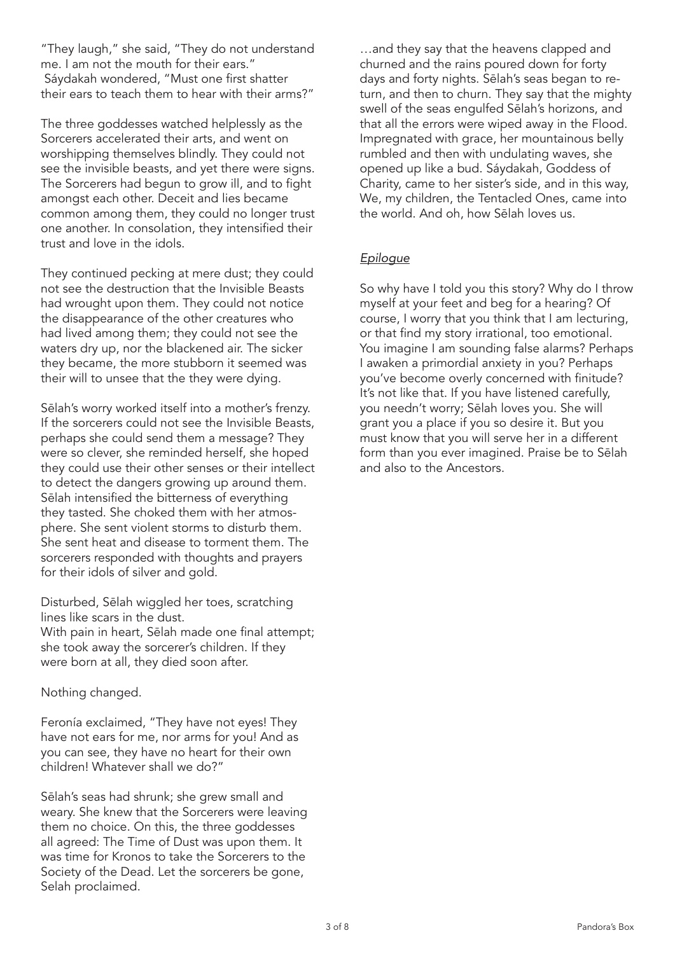"They laugh," she said, "They do not understand me. I am not the mouth for their ears." Sáydakah wondered, "Must one first shatter their ears to teach them to hear with their arms?"

The three goddesses watched helplessly as the Sorcerers accelerated their arts, and went on worshipping themselves blindly. They could not see the invisible beasts, and yet there were signs. The Sorcerers had begun to grow ill, and to fight amongst each other. Deceit and lies became common among them, they could no longer trust one another. In consolation, they intensified their trust and love in the idols.

They continued pecking at mere dust; they could not see the destruction that the Invisible Beasts had wrought upon them. They could not notice the disappearance of the other creatures who had lived among them; they could not see the waters dry up, nor the blackened air. The sicker they became, the more stubborn it seemed was their will to unsee that the they were dying.

Sēlah's worry worked itself into a mother's frenzy. If the sorcerers could not see the Invisible Beasts, perhaps she could send them a message? They were so clever, she reminded herself, she hoped they could use their other senses or their intellect to detect the dangers growing up around them. Sēlah intensified the bitterness of everything they tasted. She choked them with her atmosphere. She sent violent storms to disturb them. She sent heat and disease to torment them. The sorcerers responded with thoughts and prayers for their idols of silver and gold.

Disturbed, Sēlah wiggled her toes, scratching lines like scars in the dust.

With pain in heart, Sēlah made one final attempt; she took away the sorcerer's children. If they were born at all, they died soon after.

Nothing changed.

Feronía exclaimed, "They have not eyes! They have not ears for me, nor arms for you! And as you can see, they have no heart for their own children! Whatever shall we do?"

Sēlah's seas had shrunk; she grew small and weary. She knew that the Sorcerers were leaving them no choice. On this, the three goddesses all agreed: The Time of Dust was upon them. It was time for Kronos to take the Sorcerers to the Society of the Dead. Let the sorcerers be gone, Selah proclaimed.

…and they say that the heavens clapped and churned and the rains poured down for forty days and forty nights. Sēlah's seas began to return, and then to churn. They say that the mighty swell of the seas engulfed Sēlah's horizons, and that all the errors were wiped away in the Flood. Impregnated with grace, her mountainous belly rumbled and then with undulating waves, she opened up like a bud. Sáydakah, Goddess of Charity, came to her sister's side, and in this way, We, my children, the Tentacled Ones, came into the world. And oh, how Sēlah loves us.

## *Epilogue*

So why have I told you this story? Why do I throw myself at your feet and beg for a hearing? Of course, I worry that you think that I am lecturing, or that find my story irrational, too emotional. You imagine I am sounding false alarms? Perhaps I awaken a primordial anxiety in you? Perhaps you've become overly concerned with finitude? It's not like that. If you have listened carefully, you needn't worry; Sēlah loves you. She will grant you a place if you so desire it. But you must know that you will serve her in a different form than you ever imagined. Praise be to Sēlah and also to the Ancestors.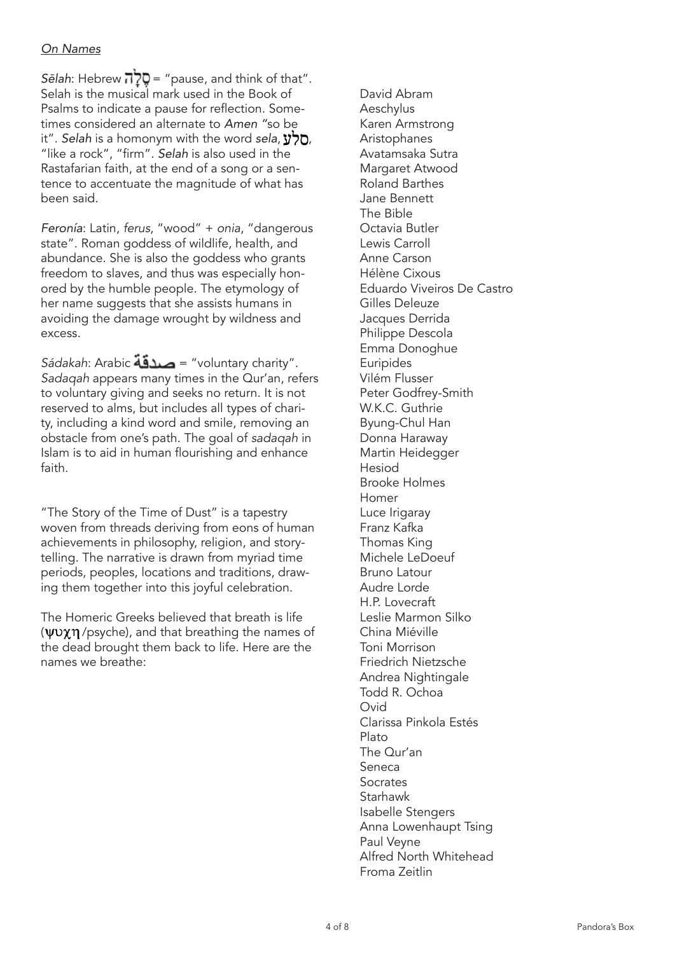### *On Names*

Sēlah: Hebrew  $\vec{q}$ לָה = "pause, and think of that". Selah is the musical mark used in the Book of Psalms to indicate a pause for reflection. Sometimes considered an alternate to *Amen "*so be it". *Selah* is a homonym with the word *sela*,  $\mathbf{y}$ ס, "like a rock", "firm". *Selah* is also used in the Rastafarian faith, at the end of a song or a sentence to accentuate the magnitude of what has been said.

*Feronía*: Latin, *ferus*, "wood" + *onia*, "dangerous state". Roman goddess of wildlife, health, and abundance. She is also the goddess who grants freedom to slaves, and thus was especially honored by the humble people. The etymology of her name suggests that she assists humans in avoiding the damage wrought by wildness and excess.

*Sádakah*: Arabic = "voluntary charity". *Sadaqah* appears many times in the Qur'an, refers to voluntary giving and seeks no return. It is not reserved to alms, but includes all types of charity, including a kind word and smile, removing an obstacle from one's path. The goal of *sadaqah* in Islam is to aid in human flourishing and enhance faith.

"The Story of the Time of Dust" is a tapestry woven from threads deriving from eons of human achievements in philosophy, religion, and storytelling. The narrative is drawn from myriad time periods, peoples, locations and traditions, drawing them together into this joyful celebration.

The Homeric Greeks believed that breath is life  $(\Psi \nu \chi \eta$  /psyche), and that breathing the names of the dead brought them back to life. Here are the names we breathe:

David Abram Aeschylus Karen Armstrong Aristophanes Avatamsaka Sutra Margaret Atwood Roland Barthes Jane Bennett The Bible Octavia Butler Lewis Carroll Anne Carson Hélène Cixous Eduardo Viveiros De Castro Gilles Deleuze Jacques Derrida Philippe Descola Emma Donoghue Euripides Vilém Flusser Peter Godfrey-Smith W.K.C. Guthrie Byung-Chul Han Donna Haraway Martin Heidegger Hesiod Brooke Holmes Homer Luce Irigaray Franz Kafka Thomas King Michele LeDoeuf Bruno Latour Audre Lorde H.P. Lovecraft Leslie Marmon Silko China Miéville Toni Morrison Friedrich Nietzsche Andrea Nightingale Todd R. Ochoa Ovid Clarissa Pinkola Estés Plato The Qur'an Seneca Socrates Starhawk Isabelle Stengers Anna Lowenhaupt Tsing Paul Veyne Alfred North Whitehead Froma Zeitlin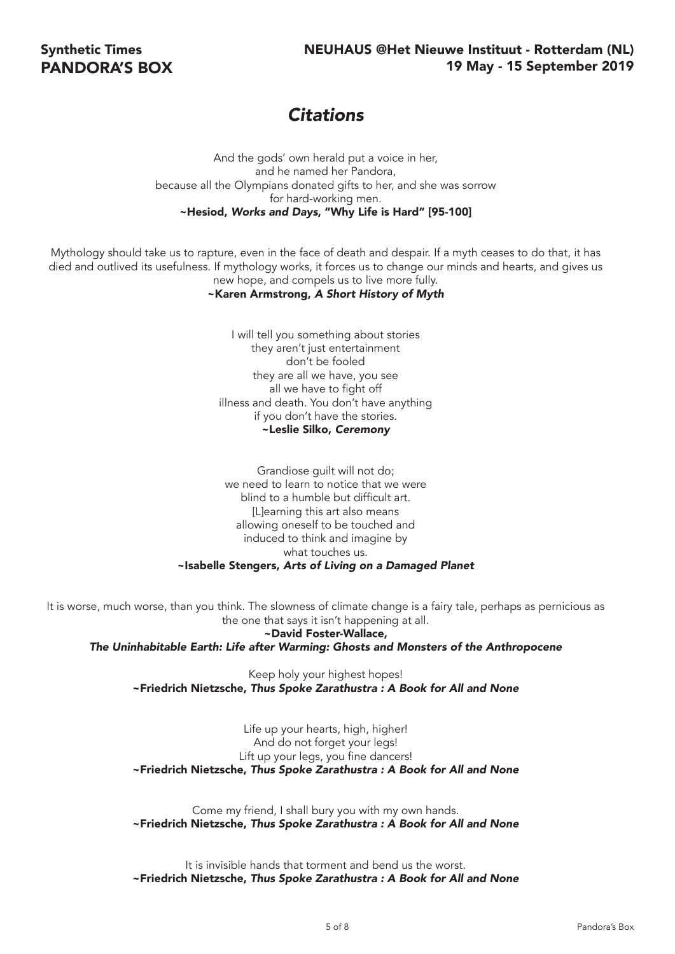# *Citations*

And the gods' own herald put a voice in her, and he named her Pandora, because all the Olympians donated gifts to her, and she was sorrow for hard-working men. ~Hesiod, *Works and Days*, "Why Life is Hard" [95-100]

Mythology should take us to rapture, even in the face of death and despair. If a myth ceases to do that, it has died and outlived its usefulness. If mythology works, it forces us to change our minds and hearts, and gives us new hope, and compels us to live more fully.

#### ~Karen Armstrong, *A Short History of Myth*

I will tell you something about stories they aren't just entertainment don't be fooled they are all we have, you see all we have to fight off illness and death. You don't have anything if you don't have the stories. ~Leslie Silko, *Ceremony*

Grandiose guilt will not do; we need to learn to notice that we were blind to a humble but difficult art. [L]earning this art also means allowing oneself to be touched and induced to think and imagine by what touches us. ~Isabelle Stengers, *Arts of Living on a Damaged Planet*

It is worse, much worse, than you think. The slowness of climate change is a fairy tale, perhaps as pernicious as the one that says it isn't happening at all.

~David Foster-Wallace, *The Uninhabitable Earth: Life after Warming: Ghosts and Monsters of the Anthropocene*

Keep holy your highest hopes! ~Friedrich Nietzsche, *Thus Spoke Zarathustra : A Book for All and None*

Life up your hearts, high, higher! And do not forget your legs! Lift up your legs, you fine dancers! ~Friedrich Nietzsche, *Thus Spoke Zarathustra : A Book for All and None*

Come my friend, I shall bury you with my own hands. ~Friedrich Nietzsche, *Thus Spoke Zarathustra : A Book for All and None*

It is invisible hands that torment and bend us the worst. ~Friedrich Nietzsche, *Thus Spoke Zarathustra : A Book for All and None*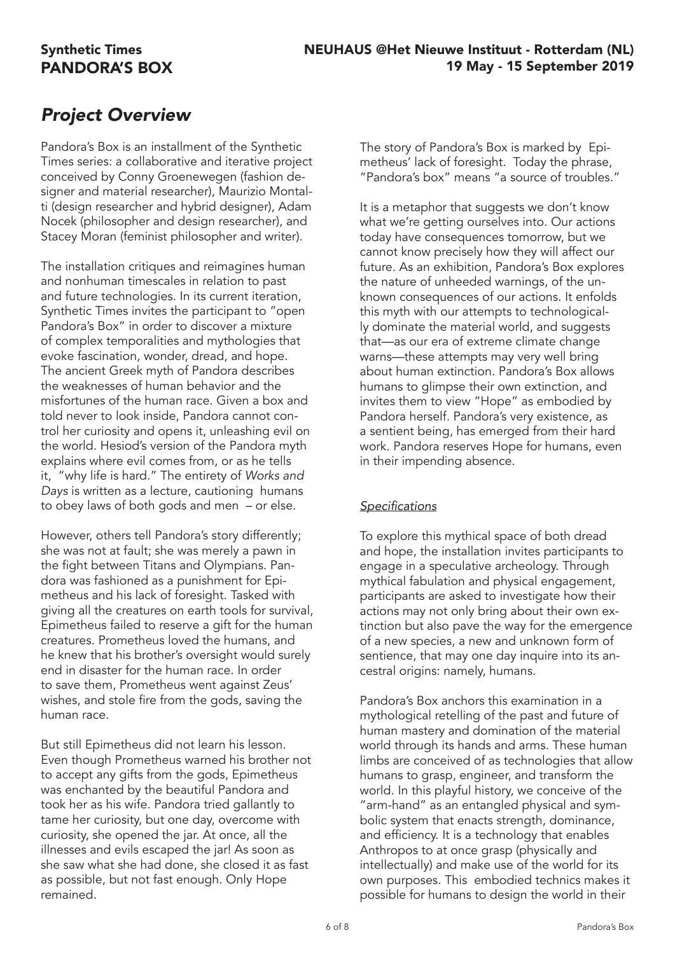# Synthetic Times PANDORA'S BOX

# *Project Overview*

Pandora's Box is an installment of the Synthetic Times series: a collaborative and iterative project conceived by Conny Groenewegen (fashion designer and material researcher), Maurizio Montalti (design researcher and hybrid designer), Adam Nocek (philosopher and design researcher), and Stacey Moran (feminist philosopher and writer).

The installation critiques and reimagines human and nonhuman timescales in relation to past and future technologies. In its current iteration, Synthetic Times invites the participant to "open Pandora's Box" in order to discover a mixture of complex temporalities and mythologies that evoke fascination, wonder, dread, and hope. The ancient Greek myth of Pandora describes the weaknesses of human behavior and the misfortunes of the human race. Given a box and told never to look inside, Pandora cannot control her curiosity and opens it, unleashing evil on the world. Hesiod's version of the Pandora myth explains where evil comes from, or as he tells it, "why life is hard." The entirety of *Works and Days* is written as a lecture, cautioning humans to obey laws of both gods and men – or else.

However, others tell Pandora's story differently; she was not at fault; she was merely a pawn in the fight between Titans and Olympians. Pandora was fashioned as a punishment for Epimetheus and his lack of foresight. Tasked with giving all the creatures on earth tools for survival, Epimetheus failed to reserve a gift for the human creatures. Prometheus loved the humans, and he knew that his brother's oversight would surely end in disaster for the human race. In order to save them, Prometheus went against Zeus' wishes, and stole fire from the gods, saving the human race.

But still Epimetheus did not learn his lesson. Even though Prometheus warned his brother not to accept any gifts from the gods, Epimetheus was enchanted by the beautiful Pandora and took her as his wife. Pandora tried gallantly to tame her curiosity, but one day, overcome with curiosity, she opened the jar. At once, all the illnesses and evils escaped the jar! As soon as she saw what she had done, she closed it as fast as possible, but not fast enough. Only Hope remained.

The story of Pandora's Box is marked by Epimetheus' lack of foresight. Today the phrase, "Pandora's box" means "a source of troubles."

It is a metaphor that suggests we don't know what we're getting ourselves into. Our actions today have consequences tomorrow, but we cannot know precisely how they will affect our future. As an exhibition, Pandora's Box explores the nature of unheeded warnings, of the unknown consequences of our actions. It enfolds this myth with our attempts to technologically dominate the material world, and suggests that—as our era of extreme climate change warns—these attempts may very well bring about human extinction. Pandora's Box allows humans to glimpse their own extinction, and invites them to view "Hope" as embodied by Pandora herself. Pandora's very existence, as a sentient being, has emerged from their hard work. Pandora reserves Hope for humans, even in their impending absence.

### **Specifications**

To explore this mythical space of both dread and hope, the installation invites participants to engage in a speculative archeology. Through mythical fabulation and physical engagement, participants are asked to investigate how their actions may not only bring about their own extinction but also pave the way for the emergence of a new species, a new and unknown form of sentience, that may one day inquire into its ancestral origins: namely, humans.

Pandora's Box anchors this examination in a mythological retelling of the past and future of human mastery and domination of the material world through its hands and arms. These human limbs are conceived of as technologies that allow humans to grasp, engineer, and transform the world. In this playful history, we conceive of the "arm-hand" as an entangled physical and symbolic system that enacts strength, dominance, and efficiency. It is a technology that enables Anthropos to at once grasp (physically and intellectually) and make use of the world for its own purposes. This embodied technics makes it possible for humans to design the world in their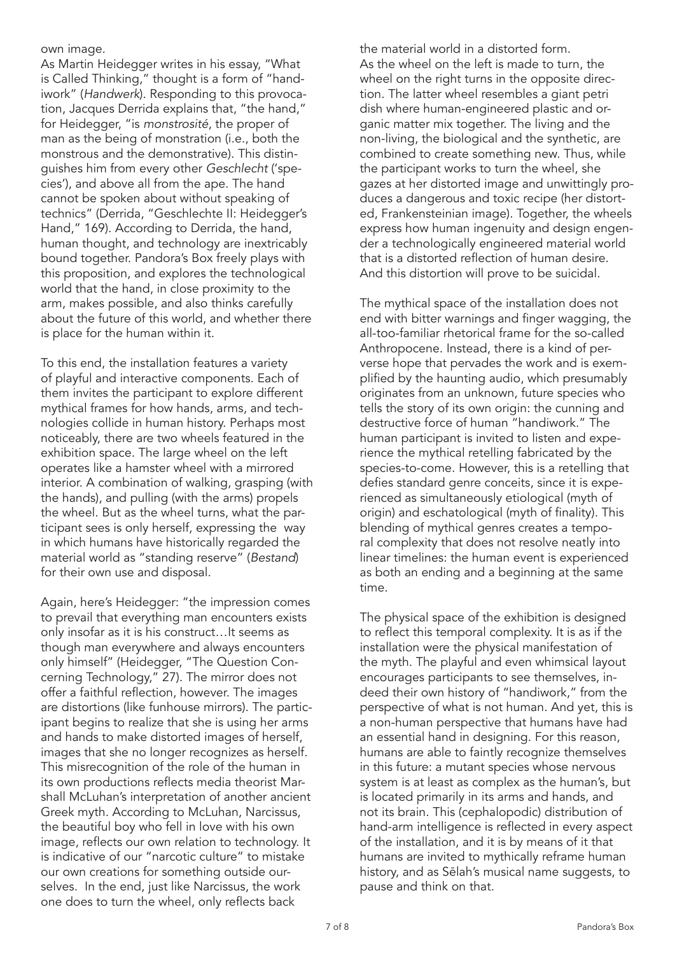own image.

As Martin Heidegger writes in his essay, "What is Called Thinking," thought is a form of "handiwork" (*Handwerk*). Responding to this provocation, Jacques Derrida explains that, "the hand," for Heidegger, "is *monstrosité*, the proper of man as the being of monstration (i.e., both the monstrous and the demonstrative). This distinguishes him from every other *Geschlecht* ('species'), and above all from the ape. The hand cannot be spoken about without speaking of technics" (Derrida, "Geschlechte II: Heidegger's Hand," 169). According to Derrida, the hand, human thought, and technology are inextricably bound together. Pandora's Box freely plays with this proposition, and explores the technological world that the hand, in close proximity to the arm, makes possible, and also thinks carefully about the future of this world, and whether there is place for the human within it.

To this end, the installation features a variety of playful and interactive components. Each of them invites the participant to explore different mythical frames for how hands, arms, and technologies collide in human history. Perhaps most noticeably, there are two wheels featured in the exhibition space. The large wheel on the left operates like a hamster wheel with a mirrored interior. A combination of walking, grasping (with the hands), and pulling (with the arms) propels the wheel. But as the wheel turns, what the participant sees is only herself, expressing the way in which humans have historically regarded the material world as "standing reserve" (*Bestand*) for their own use and disposal.

Again, here's Heidegger: "the impression comes to prevail that everything man encounters exists only insofar as it is his construct…It seems as though man everywhere and always encounters only himself" (Heidegger, "The Question Concerning Technology," 27). The mirror does not offer a faithful reflection, however. The images are distortions (like funhouse mirrors). The participant begins to realize that she is using her arms and hands to make distorted images of herself, images that she no longer recognizes as herself. This misrecognition of the role of the human in its own productions reflects media theorist Marshall McLuhan's interpretation of another ancient Greek myth. According to McLuhan, Narcissus, the beautiful boy who fell in love with his own image, reflects our own relation to technology. It is indicative of our "narcotic culture" to mistake our own creations for something outside ourselves. In the end, just like Narcissus, the work one does to turn the wheel, only reflects back

the material world in a distorted form. As the wheel on the left is made to turn, the wheel on the right turns in the opposite direction. The latter wheel resembles a giant petri dish where human-engineered plastic and organic matter mix together. The living and the non-living, the biological and the synthetic, are combined to create something new. Thus, while the participant works to turn the wheel, she gazes at her distorted image and unwittingly produces a dangerous and toxic recipe (her distorted, Frankensteinian image). Together, the wheels express how human ingenuity and design engender a technologically engineered material world that is a distorted reflection of human desire. And this distortion will prove to be suicidal.

The mythical space of the installation does not end with bitter warnings and finger wagging, the all-too-familiar rhetorical frame for the so-called Anthropocene. Instead, there is a kind of perverse hope that pervades the work and is exemplified by the haunting audio, which presumably originates from an unknown, future species who tells the story of its own origin: the cunning and destructive force of human "handiwork." The human participant is invited to listen and experience the mythical retelling fabricated by the species-to-come. However, this is a retelling that defies standard genre conceits, since it is experienced as simultaneously etiological (myth of origin) and eschatological (myth of finality). This blending of mythical genres creates a temporal complexity that does not resolve neatly into linear timelines: the human event is experienced as both an ending and a beginning at the same time.

The physical space of the exhibition is designed to reflect this temporal complexity. It is as if the installation were the physical manifestation of the myth. The playful and even whimsical layout encourages participants to see themselves, indeed their own history of "handiwork," from the perspective of what is not human. And yet, this is a non-human perspective that humans have had an essential hand in designing. For this reason, humans are able to faintly recognize themselves in this future: a mutant species whose nervous system is at least as complex as the human's, but is located primarily in its arms and hands, and not its brain. This (cephalopodic) distribution of hand-arm intelligence is reflected in every aspect of the installation, and it is by means of it that humans are invited to mythically reframe human history, and as Sēlah's musical name suggests, to pause and think on that.